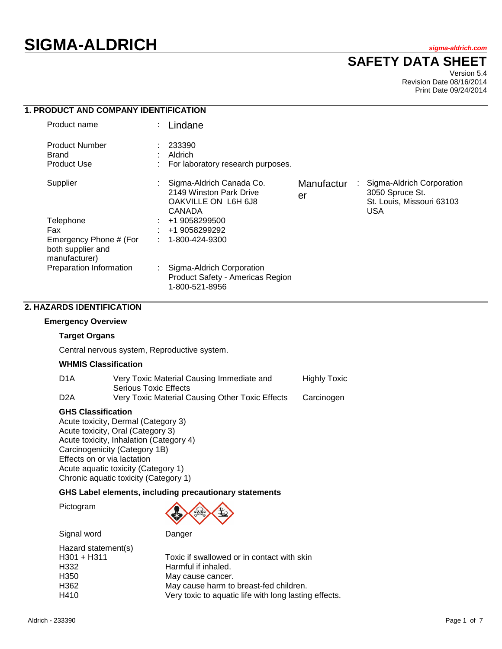# **SIGMA-ALDRICH** *sigma-aldrich.com*

# **SAFETY DATA SHEET**

Version 5.4 Revision Date 08/16/2014 Print Date 09/24/2014

| 1. PRODUCT AND COMPANY IDENTIFICATION                        |                                                                                      |                       |                                                                                         |
|--------------------------------------------------------------|--------------------------------------------------------------------------------------|-----------------------|-----------------------------------------------------------------------------------------|
| Product name                                                 | Lindane                                                                              |                       |                                                                                         |
| Product Number<br>Brand<br><b>Product Use</b>                | 233390<br>Aldrich<br>For laboratory research purposes.                               |                       |                                                                                         |
| Supplier                                                     | Sigma-Aldrich Canada Co.<br>2149 Winston Park Drive<br>OAKVILLE ON L6H 6J8<br>CANADA | Manufactur<br>÷<br>er | Sigma-Aldrich Corporation<br>3050 Spruce St.<br>St. Louis, Missouri 63103<br><b>USA</b> |
| Telephone                                                    | +1 9058299500                                                                        |                       |                                                                                         |
| Fax                                                          | +1 9058299292                                                                        |                       |                                                                                         |
| Emergency Phone # (For<br>both supplier and<br>manufacturer) | 1-800-424-9300                                                                       |                       |                                                                                         |
| Preparation Information                                      | Sigma-Aldrich Corporation<br>Product Safety - Americas Region<br>1-800-521-8956      |                       |                                                                                         |

# **2. HAZARDS IDENTIFICATION**

# **Emergency Overview**

#### **Target Organs**

Central nervous system, Reproductive system.

#### **WHMIS Classification**

| D <sub>1</sub> A | Very Toxic Material Causing Immediate and       | <b>Highly Toxic</b> |
|------------------|-------------------------------------------------|---------------------|
|                  | Serious Toxic Effects                           |                     |
| D <sub>2</sub> A | Very Toxic Material Causing Other Toxic Effects | Carcinogen          |

#### **GHS Classification**

Acute toxicity, Dermal (Category 3) Acute toxicity, Oral (Category 3) Acute toxicity, Inhalation (Category 4) Carcinogenicity (Category 1B) Effects on or via lactation Acute aquatic toxicity (Category 1) Chronic aquatic toxicity (Category 1)

## **GHS Label elements, including precautionary statements**

Pictogram



Signal word Danger

| Toxic if swallowed or in contact with skin            |
|-------------------------------------------------------|
| Harmful if inhaled.                                   |
| May cause cancer.                                     |
| May cause harm to breast-fed children.                |
| Very toxic to aquatic life with long lasting effects. |
|                                                       |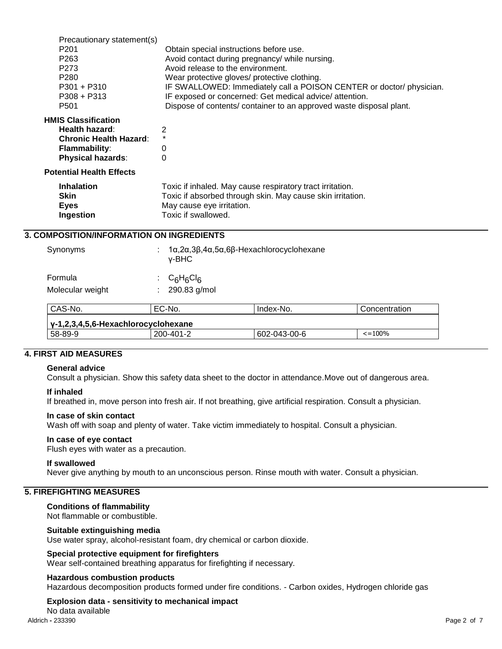| Precautionary statement(s)<br>P <sub>201</sub><br>P <sub>263</sub><br>P <sub>273</sub><br>P <sub>280</sub><br>$P301 + P310$<br>$P308 + P313$ | Obtain special instructions before use.<br>Avoid contact during pregnancy/ while nursing.<br>Avoid release to the environment.<br>Wear protective gloves/ protective clothing.<br>IF SWALLOWED: Immediately call a POISON CENTER or doctor/ physician.<br>IF exposed or concerned: Get medical advice/attention. |
|----------------------------------------------------------------------------------------------------------------------------------------------|------------------------------------------------------------------------------------------------------------------------------------------------------------------------------------------------------------------------------------------------------------------------------------------------------------------|
| P <sub>501</sub>                                                                                                                             | Dispose of contents/ container to an approved waste disposal plant.                                                                                                                                                                                                                                              |
| <b>HMIS Classification</b><br>Health hazard:<br><b>Chronic Health Hazard:</b><br><b>Flammability:</b><br><b>Physical hazards:</b>            | 2<br>0<br>0                                                                                                                                                                                                                                                                                                      |
| <b>Potential Health Effects</b>                                                                                                              |                                                                                                                                                                                                                                                                                                                  |
| <b>Inhalation</b><br><b>Skin</b><br><b>Eyes</b><br><b>Ingestion</b>                                                                          | Toxic if inhaled. May cause respiratory tract irritation.<br>Toxic if absorbed through skin. May cause skin irritation.<br>May cause eye irritation.<br>Toxic if swallowed.                                                                                                                                      |
| <b>3. COMPOSITION/INFORMATION ON INGREDIENTS</b>                                                                                             |                                                                                                                                                                                                                                                                                                                  |

| Synonyms                            | v-BHC                        | $1\alpha$ , $2\alpha$ , $3\beta$ , $4\alpha$ , $5\alpha$ , $6\beta$ -Hexachlorocyclohexane |                    |  |  |  |  |
|-------------------------------------|------------------------------|--------------------------------------------------------------------------------------------|--------------------|--|--|--|--|
| Formula<br>Molecular weight         | $C_6H_6Cl_6$<br>290.83 g/mol |                                                                                            |                    |  |  |  |  |
| CAS-No.                             | EC-No.                       | Index-No.                                                                                  | Concentration      |  |  |  |  |
| y-1,2,3,4,5,6-Hexachlorocyclohexane |                              |                                                                                            |                    |  |  |  |  |
| 58-89-9                             | 200-401-2                    | 602-043-00-6                                                                               | $\epsilon = 100\%$ |  |  |  |  |

# **4. FIRST AID MEASURES**

#### **General advice**

Consult a physician. Show this safety data sheet to the doctor in attendance.Move out of dangerous area.

#### **If inhaled**

If breathed in, move person into fresh air. If not breathing, give artificial respiration. Consult a physician.

#### **In case of skin contact**

Wash off with soap and plenty of water. Take victim immediately to hospital. Consult a physician.

#### **In case of eye contact**

Flush eyes with water as a precaution.

#### **If swallowed**

Never give anything by mouth to an unconscious person. Rinse mouth with water. Consult a physician.

# **5. FIREFIGHTING MEASURES**

#### **Conditions of flammability**

Not flammable or combustible.

#### **Suitable extinguishing media**

Use water spray, alcohol-resistant foam, dry chemical or carbon dioxide.

## **Special protective equipment for firefighters**

Wear self-contained breathing apparatus for firefighting if necessary.

#### **Hazardous combustion products**

Hazardous decomposition products formed under fire conditions. - Carbon oxides, Hydrogen chloride gas

#### **Explosion data - sensitivity to mechanical impact**

Aldrich **-** 233390 Page 2 of 7 No data available<br>Aldrich - 233390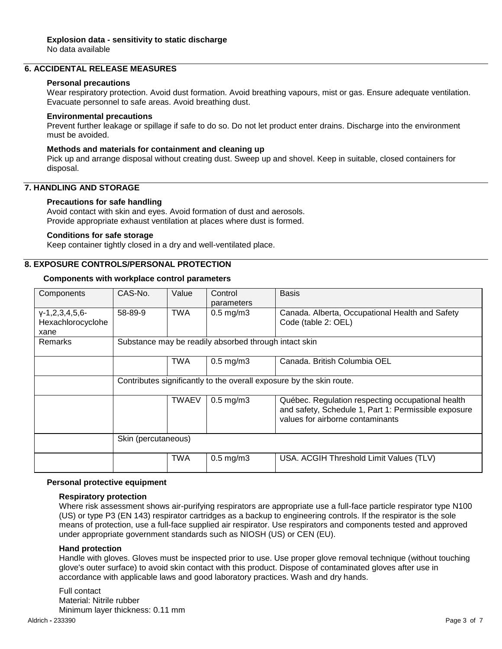# **6. ACCIDENTAL RELEASE MEASURES**

#### **Personal precautions**

Wear respiratory protection. Avoid dust formation. Avoid breathing vapours, mist or gas. Ensure adequate ventilation. Evacuate personnel to safe areas. Avoid breathing dust.

#### **Environmental precautions**

Prevent further leakage or spillage if safe to do so. Do not let product enter drains. Discharge into the environment must be avoided.

#### **Methods and materials for containment and cleaning up**

Pick up and arrange disposal without creating dust. Sweep up and shovel. Keep in suitable, closed containers for disposal.

# **7. HANDLING AND STORAGE**

## **Precautions for safe handling**

Avoid contact with skin and eyes. Avoid formation of dust and aerosols. Provide appropriate exhaust ventilation at places where dust is formed.

# **Conditions for safe storage**

Keep container tightly closed in a dry and well-ventilated place.

# **8. EXPOSURE CONTROLS/PERSONAL PROTECTION**

#### **Components with workplace control parameters**

| Components                                          | CAS-No.                                               | Value                                                                | Control<br>parameters | <b>Basis</b>                                                                                              |  |
|-----------------------------------------------------|-------------------------------------------------------|----------------------------------------------------------------------|-----------------------|-----------------------------------------------------------------------------------------------------------|--|
| $Y-1, 2, 3, 4, 5, 6$ -<br>Hexachlorocyclohe<br>xane | 58-89-9                                               | <b>TWA</b>                                                           | $0.5$ mg/m $3$        | Canada. Alberta, Occupational Health and Safety<br>Code (table 2: OEL)                                    |  |
| <b>Remarks</b>                                      | Substance may be readily absorbed through intact skin |                                                                      |                       |                                                                                                           |  |
|                                                     |                                                       | TWA                                                                  | $0.5$ mg/m $3$        | Canada, British Columbia OEL                                                                              |  |
|                                                     |                                                       | Contributes significantly to the overall exposure by the skin route. |                       |                                                                                                           |  |
|                                                     |                                                       | <b>TWAEV</b><br>$0.5$ mg/m $3$<br>values for airborne contaminants   |                       | Québec. Regulation respecting occupational health<br>and safety, Schedule 1, Part 1: Permissible exposure |  |
|                                                     | Skin (percutaneous)                                   |                                                                      |                       |                                                                                                           |  |
|                                                     |                                                       | <b>TWA</b>                                                           | $0.5$ mg/m $3$        | USA. ACGIH Threshold Limit Values (TLV)                                                                   |  |

#### **Personal protective equipment**

#### **Respiratory protection**

Where risk assessment shows air-purifying respirators are appropriate use a full-face particle respirator type N100 (US) or type P3 (EN 143) respirator cartridges as a backup to engineering controls. If the respirator is the sole means of protection, use a full-face supplied air respirator. Use respirators and components tested and approved under appropriate government standards such as NIOSH (US) or CEN (EU).

#### **Hand protection**

Handle with gloves. Gloves must be inspected prior to use. Use proper glove removal technique (without touching glove's outer surface) to avoid skin contact with this product. Dispose of contaminated gloves after use in accordance with applicable laws and good laboratory practices. Wash and dry hands.

Full contact Material: Nitrile rubber Minimum layer thickness: 0.11 mm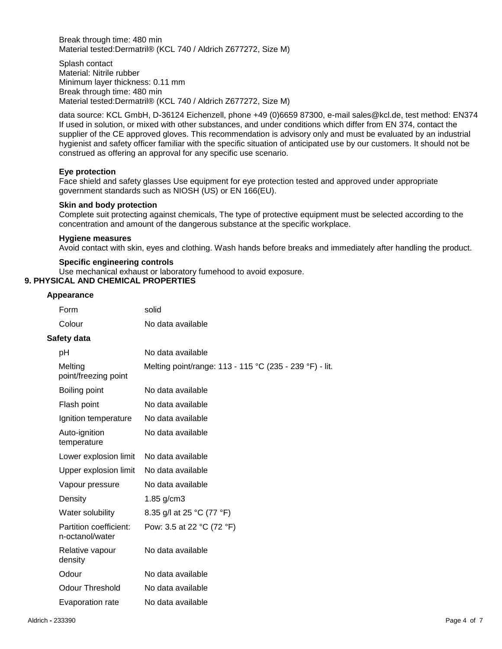Break through time: 480 min Material tested:Dermatril® (KCL 740 / Aldrich Z677272, Size M)

Splash contact Material: Nitrile rubber Minimum layer thickness: 0.11 mm Break through time: 480 min Material tested:Dermatril® (KCL 740 / Aldrich Z677272, Size M)

data source: KCL GmbH, D-36124 Eichenzell, phone +49 (0)6659 87300, e-mail sales@kcl.de, test method: EN374 If used in solution, or mixed with other substances, and under conditions which differ from EN 374, contact the supplier of the CE approved gloves. This recommendation is advisory only and must be evaluated by an industrial hygienist and safety officer familiar with the specific situation of anticipated use by our customers. It should not be construed as offering an approval for any specific use scenario.

## **Eye protection**

Face shield and safety glasses Use equipment for eye protection tested and approved under appropriate government standards such as NIOSH (US) or EN 166(EU).

## **Skin and body protection**

Complete suit protecting against chemicals, The type of protective equipment must be selected according to the concentration and amount of the dangerous substance at the specific workplace.

#### **Hygiene measures**

Avoid contact with skin, eyes and clothing. Wash hands before breaks and immediately after handling the product.

#### **Specific engineering controls**

Use mechanical exhaust or laboratory fumehood to avoid exposure.

# **9. PHYSICAL AND CHEMICAL PROPERTIES**

#### **Appearance**

| Form                                      | solid                                                   |
|-------------------------------------------|---------------------------------------------------------|
| Colour                                    | No data available                                       |
| Safety data                               |                                                         |
| рH                                        | No data available                                       |
| Melting<br>point/freezing point           | Melting point/range: 113 - 115 °C (235 - 239 °F) - lit. |
| Boiling point                             | No data available                                       |
| Flash point                               | No data available                                       |
| Ignition temperature                      | No data available                                       |
| Auto-ignition<br>temperature              | No data available                                       |
| Lower explosion limit                     | No data available                                       |
| Upper explosion limit                     | No data available                                       |
| Vapour pressure                           | No data available                                       |
| Density                                   | $1.85$ g/cm $3$                                         |
| Water solubility                          | 8.35 g/l at 25 °C (77 °F)                               |
| Partition coefficient:<br>n-octanol/water | Pow: 3.5 at 22 °C (72 °F)                               |
| Relative vapour<br>density                | No data available                                       |
| Odour                                     | No data available                                       |
| <b>Odour Threshold</b>                    | No data available                                       |
| Evaporation rate                          | No data available                                       |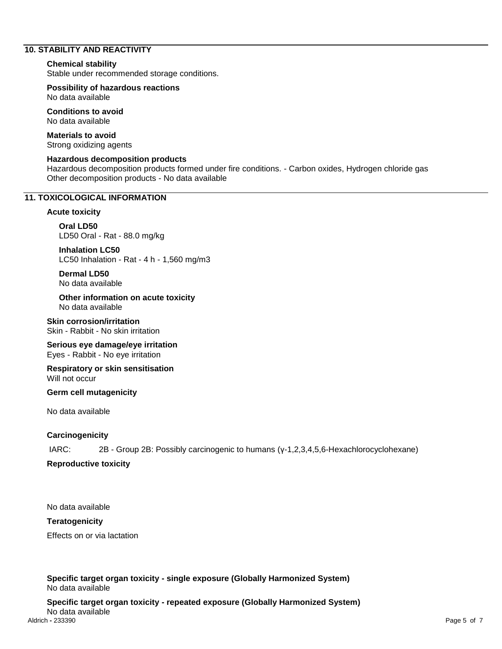# **10. STABILITY AND REACTIVITY**

#### **Chemical stability**

Stable under recommended storage conditions.

**Possibility of hazardous reactions** No data available

**Conditions to avoid** No data available

**Materials to avoid** Strong oxidizing agents

## **Hazardous decomposition products**

Hazardous decomposition products formed under fire conditions. - Carbon oxides, Hydrogen chloride gas Other decomposition products - No data available

#### **11. TOXICOLOGICAL INFORMATION**

#### **Acute toxicity**

**Oral LD50** LD50 Oral - Rat - 88.0 mg/kg

**Inhalation LC50** LC50 Inhalation - Rat - 4 h - 1,560 mg/m3

**Dermal LD50** No data available

**Other information on acute toxicity** No data available

**Skin corrosion/irritation** Skin - Rabbit - No skin irritation

**Serious eye damage/eye irritation** Eyes - Rabbit - No eye irritation

**Respiratory or skin sensitisation** Will not occur

#### **Germ cell mutagenicity**

No data available

## **Carcinogenicity**

IARC: 2B - Group 2B: Possibly carcinogenic to humans (γ-1,2,3,4,5,6-Hexachlorocyclohexane)

## **Reproductive toxicity**

No data available

## **Teratogenicity**

Effects on or via lactation

**Specific target organ toxicity - single exposure (Globally Harmonized System)** No data available

Aldrich **-** 233390 Page 5 of 7 **Specific target organ toxicity - repeated exposure (Globally Harmonized System)** No data available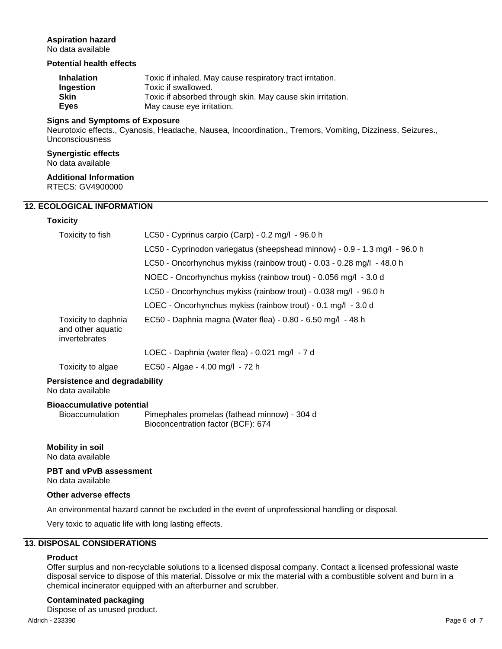# **Aspiration hazard**

No data available

# **Potential health effects**

| <b>Inhalation</b> | Toxic if inhaled. May cause respiratory tract irritation.  |
|-------------------|------------------------------------------------------------|
| <b>Ingestion</b>  | Toxic if swallowed.                                        |
| <b>Skin</b>       | Toxic if absorbed through skin. May cause skin irritation. |
| Eves              | May cause eye irritation.                                  |

#### **Signs and Symptoms of Exposure**

Neurotoxic effects., Cyanosis, Headache, Nausea, Incoordination., Tremors, Vomiting, Dizziness, Seizures., Unconsciousness

# **Synergistic effects**

No data available

# **Additional Information**

RTECS: GV4900000

# **12. ECOLOGICAL INFORMATION**

# **Toxicity**

| Toxicity to fish                                          | LC50 - Cyprinus carpio (Carp) - 0.2 mg/l - 96.0 h                          |
|-----------------------------------------------------------|----------------------------------------------------------------------------|
|                                                           | LC50 - Cyprinodon variegatus (sheepshead minnow) - 0.9 - 1.3 mg/l - 96.0 h |
|                                                           | LC50 - Oncorhynchus mykiss (rainbow trout) - 0.03 - 0.28 mg/l - 48.0 h     |
|                                                           | NOEC - Oncorhynchus mykiss (rainbow trout) - 0.056 mg/l - 3.0 d            |
|                                                           | LC50 - Oncorhynchus mykiss (rainbow trout) - 0.038 mg/l - 96.0 h           |
|                                                           | LOEC - Oncorhynchus mykiss (rainbow trout) - 0.1 mg/l - 3.0 d              |
| Toxicity to daphnia<br>and other aquatic<br>invertebrates | EC50 - Daphnia magna (Water flea) - 0.80 - 6.50 mg/l - 48 h                |
|                                                           | LOEC - Daphnia (water flea) - 0.021 mg/l - 7 d                             |
| Toxicity to algae                                         | EC50 - Algae - 4.00 mg/l - 72 h                                            |

## **Persistence and degradability** No data available

## **Bioaccumulative potential**

Bioaccumulation Pimephales promelas (fathead minnow) - 304 d Bioconcentration factor (BCF): 674

# **Mobility in soil** No data available

# **PBT and vPvB assessment**

No data available

## **Other adverse effects**

An environmental hazard cannot be excluded in the event of unprofessional handling or disposal.

Very toxic to aquatic life with long lasting effects.

# **13. DISPOSAL CONSIDERATIONS**

# **Product**

Offer surplus and non-recyclable solutions to a licensed disposal company. Contact a licensed professional waste disposal service to dispose of this material. Dissolve or mix the material with a combustible solvent and burn in a chemical incinerator equipped with an afterburner and scrubber.

# **Contaminated packaging**

Dispose of as unused product.